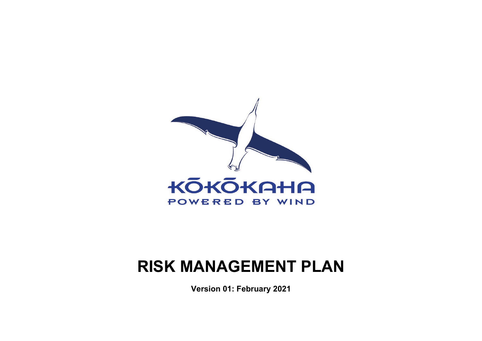

# **RISK MANAGEMENT PLAN**

**Version 01: February 2021**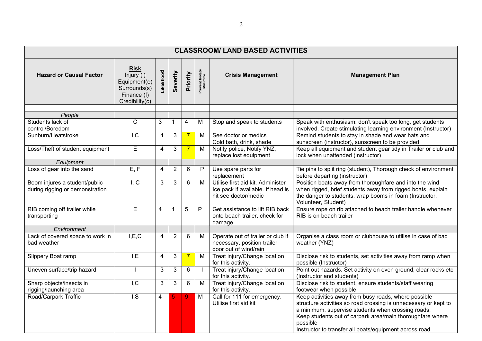| <b>CLASSROOM/ LAND BASED ACTIVITIES</b>                          |                                                                                            |                |                |                |                             |                                                                                                |                                                                                                                                                                                                                                                                                                                  |  |  |  |  |  |  |
|------------------------------------------------------------------|--------------------------------------------------------------------------------------------|----------------|----------------|----------------|-----------------------------|------------------------------------------------------------------------------------------------|------------------------------------------------------------------------------------------------------------------------------------------------------------------------------------------------------------------------------------------------------------------------------------------------------------------|--|--|--|--|--|--|
| <b>Hazard or Causal Factor</b>                                   | <b>Risk</b><br>Injury (i)<br>Equipment(e)<br>Surrounds(s)<br>Finance (f)<br>Credibility(c) | Likelihood     | Severity       | Priority       | Prevent Isolate<br>Minimize | <b>Crisis Management</b>                                                                       | <b>Management Plan</b>                                                                                                                                                                                                                                                                                           |  |  |  |  |  |  |
| People                                                           |                                                                                            |                |                |                |                             |                                                                                                |                                                                                                                                                                                                                                                                                                                  |  |  |  |  |  |  |
| Students lack of<br>control/Boredom                              | $\overline{C}$                                                                             | 3              | 1              | 4              | M                           | Stop and speak to students                                                                     | Speak with enthusiasm; don't speak too long, get students<br>involved. Create stimulating learning environment (Instructor)                                                                                                                                                                                      |  |  |  |  |  |  |
| Sunburn/Heatstroke                                               | $\overline{C}$                                                                             | $\overline{4}$ | 3              | $\overline{7}$ | M                           | See doctor or medics<br>Cold bath, drink, shade                                                | Remind students to stay in shade and wear hats and<br>sunscreen (instructor), sunscreen to be provided                                                                                                                                                                                                           |  |  |  |  |  |  |
| Loss/Theft of student equipment                                  | E                                                                                          | $\overline{4}$ | 3              | $\overline{7}$ | $\overline{M}$              | Notify police, Notify YNZ,<br>replace lost equipment                                           | Keep all equipment and student gear tidy in Trailer or club and<br>lock when unattended (instructor)                                                                                                                                                                                                             |  |  |  |  |  |  |
| Equipment                                                        |                                                                                            |                |                |                |                             |                                                                                                |                                                                                                                                                                                                                                                                                                                  |  |  |  |  |  |  |
| Loss of gear into the sand                                       | E, F                                                                                       | 4              | $\overline{2}$ | 6              | P                           | Use spare parts for<br>replacement                                                             | Tie pins to split ring (student), Thorough check of environment<br>before departing (instructor)                                                                                                                                                                                                                 |  |  |  |  |  |  |
| Boom injures a student/public<br>during rigging or demonstration | I, C                                                                                       | 3              | 3              | 6              | M                           | Utilise first aid kit. Administer<br>Ice pack if available. If head is<br>hit see doctor/medic | Position boats away from thoroughfare and into the wind<br>when rigged, brief students away from rigged boats, explain<br>the danger to students, wrap booms in foam (Instructor,<br>Volunteer, Student)                                                                                                         |  |  |  |  |  |  |
| RIB coming off trailer while<br>transporting                     | $\overline{E}$                                                                             | 4              | 1              | 5              | P                           | Get assistance to lift RIB back<br>onto beach trailer, check for<br>damage                     | Ensure rope on rib attached to beach trailer handle whenever<br>RIB is on beach trailer                                                                                                                                                                                                                          |  |  |  |  |  |  |
| Environment                                                      |                                                                                            |                |                |                |                             |                                                                                                |                                                                                                                                                                                                                                                                                                                  |  |  |  |  |  |  |
| Lack of covered space to work in<br>bad weather                  | I, E, C                                                                                    | 4              | $\overline{2}$ | 6              | M                           | Operate out of trailer or club if<br>necessary, position trailer<br>door out of wind/rain      | Organise a class room or clubhouse to utilise in case of bad<br>weather (YNZ)                                                                                                                                                                                                                                    |  |  |  |  |  |  |
| Slippery Boat ramp                                               | I, E                                                                                       | 4              | $\mathbf{3}$   | $\overline{7}$ | $\overline{M}$              | Treat injury/Change location<br>for this activity.                                             | Disclose risk to students, set activities away from ramp when<br>possible (Instructor)                                                                                                                                                                                                                           |  |  |  |  |  |  |
| Uneven surface/trip hazard                                       |                                                                                            | 3              | 3              | 6              |                             | Treat injury/Change location<br>for this activity.                                             | Point out hazards. Set activity on even ground, clear rocks etc<br>(Instructor and students)                                                                                                                                                                                                                     |  |  |  |  |  |  |
| Sharp objects/insects in<br>rigging/launching area               | $\overline{IC}$                                                                            | 3              | 3              | 6              | M                           | Treat injury/Change location<br>for this activity.                                             | Disclose risk to student, ensure students/staff wearing<br>footwear when possible                                                                                                                                                                                                                                |  |  |  |  |  |  |
| Road/Carpark Traffic                                             | $\overline{I, S}$                                                                          | 4              | 5              | $\overline{9}$ | M                           | Call for 111 for emergency.<br>Utilise first aid kit                                           | Keep activities away from busy roads, where possible<br>structure activities so road crossing is unnecessary or kept to<br>a minimum, supervise students when crossing roads,<br>Keep students out of carpark area/main thoroughfare where<br>possible<br>Instructor to transfer all boats/equipment across road |  |  |  |  |  |  |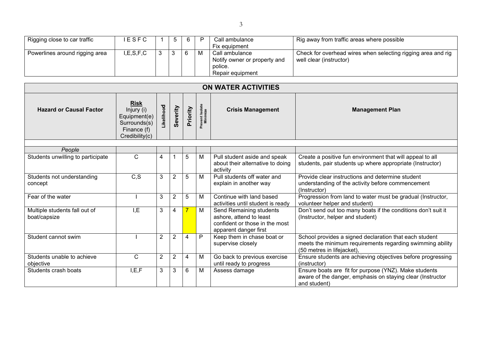| Rigging close to car traffic   | <b>IESFC</b> | .5 | 6 |   | Call ambulance<br>Fix equipment                                               | Rig away from traffic areas where possible                                              |
|--------------------------------|--------------|----|---|---|-------------------------------------------------------------------------------|-----------------------------------------------------------------------------------------|
| Powerlines around rigging area | I,E,S,F,C    |    |   | M | Call ambulance<br>Notify owner or property and<br>police.<br>Repair equipment | Check for overhead wires when selecting rigging area and rig<br>well clear (instructor) |

|                                               | ON WATER ACTIVITIES                                                                        |                |                |          |                             |                                                                                                               |                                                                                                                                                   |  |  |  |  |  |  |
|-----------------------------------------------|--------------------------------------------------------------------------------------------|----------------|----------------|----------|-----------------------------|---------------------------------------------------------------------------------------------------------------|---------------------------------------------------------------------------------------------------------------------------------------------------|--|--|--|--|--|--|
| <b>Hazard or Causal Factor</b>                | <b>Risk</b><br>Injury (i)<br>Equipment(e)<br>Surrounds(s)<br>Finance (f)<br>Credibility(c) | Likelihood     | Severity       | Priority | Prevent Isolate<br>Minimize | <b>Crisis Management</b>                                                                                      | <b>Management Plan</b>                                                                                                                            |  |  |  |  |  |  |
|                                               |                                                                                            |                |                |          |                             |                                                                                                               |                                                                                                                                                   |  |  |  |  |  |  |
| People<br>Students unwilling to participate   | $\mathsf{C}$                                                                               | 4              |                | 5        | M                           | Pull student aside and speak<br>about their alternative to doing<br>activity                                  | Create a positive fun environment that will appeal to all<br>students, pair students up where appropriate (Instructor)                            |  |  |  |  |  |  |
| Students not understanding<br>concept         | C, S                                                                                       | 3              | $\overline{2}$ | 5        | M                           | Pull students off water and<br>explain in another way                                                         | Provide clear instructions and determine student<br>understanding of the activity before commencement<br>(Instructor)                             |  |  |  |  |  |  |
| Fear of the water                             |                                                                                            | 3              | $\overline{2}$ | 5        | M                           | Continue with land based<br>activities until student is ready                                                 | Progression from land to water must be gradual (Instructor,<br>volunteer helper and student)                                                      |  |  |  |  |  |  |
| Multiple students fall out of<br>boat/capsize | I, E                                                                                       | 3              | 4              |          | M                           | Send Remaining students<br>ashore, attend to least<br>confident or those in the most<br>apparent danger first | Don't send out too many boats if the conditions don't suit it<br>(Instructor, helper and student)                                                 |  |  |  |  |  |  |
| Student cannot swim                           |                                                                                            | $\overline{2}$ | $\overline{2}$ | 4        | P                           | Keep them in chase boat or<br>supervise closely                                                               | School provides a signed declaration that each student<br>meets the minimum requirements regarding swimming ability<br>(50 metres in lifejacket), |  |  |  |  |  |  |
| Students unable to achieve<br>objective       | $\mathsf{C}$                                                                               | $\overline{2}$ | $\overline{2}$ | 4        | M                           | Go back to previous exercise<br>until ready to progress                                                       | Ensure students are achieving objectives before progressing<br>(instructor)                                                                       |  |  |  |  |  |  |
| Students crash boats                          | I, E, F                                                                                    | 3              | 3              | 6        | M                           | Assess damage                                                                                                 | Ensure boats are fit for purpose (YNZ). Make students<br>aware of the danger, emphasis on staying clear (Instructor<br>and student)               |  |  |  |  |  |  |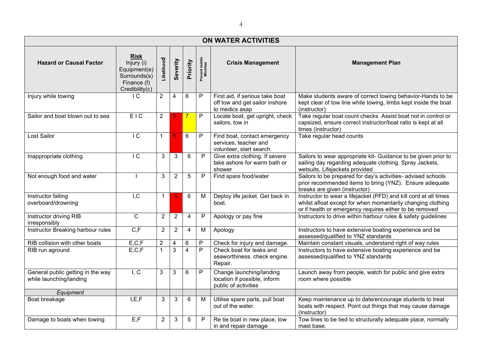|                                                              | <b>ON WATER ACTIVITIES</b>                                                          |                |                |                |                             |                                                                                     |                                                                                                                                                                                            |  |  |  |  |  |  |  |
|--------------------------------------------------------------|-------------------------------------------------------------------------------------|----------------|----------------|----------------|-----------------------------|-------------------------------------------------------------------------------------|--------------------------------------------------------------------------------------------------------------------------------------------------------------------------------------------|--|--|--|--|--|--|--|
| <b>Hazard or Causal Factor</b>                               | Risk<br>Injury (i)<br>Equipment(e)<br>Surrounds(s)<br>Finance (f)<br>Credibility(c) | Likelihood     | Severity       | Priority       | Prevent Isolate<br>Minimize | <b>Crisis Management</b>                                                            | <b>Management Plan</b>                                                                                                                                                                     |  |  |  |  |  |  |  |
| Injury while towing                                          | $\overline{C}$                                                                      | $\overline{2}$ | $\overline{4}$ | 6              | P                           | First aid, if serious take boat<br>off tow and get sailor inshore<br>to medics asap | Make students aware of correct towing behavior-Hands to be<br>kept clear of tow line while towing, limbs kept inside the boat<br>(instructor)                                              |  |  |  |  |  |  |  |
| Sailor and boat blown out to sea                             | EIC                                                                                 | $\overline{2}$ | 5              | $\overline{7}$ | $\mathsf{P}$                | Locate boat, get upright, check<br>sailors, tow in                                  | Take regular boat count checks. Assist boat not in control or<br>capsized, ensure correct instructor/boat ratio is kept at all<br>times (instructor)                                       |  |  |  |  |  |  |  |
| Lost Sailor                                                  | $\overline{C}$                                                                      | $\mathbf{1}$   | 5              | 6              | P                           | Find boat, contact emergency<br>services, teacher and<br>volunteer, start search    | Take regular head counts                                                                                                                                                                   |  |  |  |  |  |  |  |
| Inappropriate clothing                                       | IC                                                                                  | 3              | $\sqrt{3}$     | 6              | P                           | Give extra clothing. If severe<br>take ashore for warm bath or<br>shower            | Sailors to wear appropriate kit- Guidance to be given prior to<br>sailing day regarding adequate clothing. Spray Jackets,<br>wetsuits, Lifejackets provided                                |  |  |  |  |  |  |  |
| Not enough food and water                                    |                                                                                     | 3              | $\overline{2}$ | 5              | P                           | Find spare food/water                                                               | Sailors to be prepared for day's activities- advised schools<br>prior recommended items to bring (YNZ). Ensure adequate<br>breaks are given (instructor)                                   |  |  |  |  |  |  |  |
| Instructor falling<br>overboard/drowning                     | $\overline{I,C}$                                                                    | $\mathbf{1}$   | $\overline{5}$ | 6              | M                           | Deploy life jacket. Get back in<br>boat.                                            | Instructor to wear a lifejacket (PFD) and kill cord at all times<br>whilst afloat except for when momentarily changing clothing<br>or if health or emergency requires either to be removed |  |  |  |  |  |  |  |
| Instructor driving RIB<br>irresponsibly                      | $\overline{c}$                                                                      | $\overline{2}$ | $\overline{2}$ | $\overline{4}$ | P                           | Apology or pay fine                                                                 | Instructors to drive within harbour rules & safety guidelines                                                                                                                              |  |  |  |  |  |  |  |
| Instructor Breaking harbour rules                            | C, F                                                                                | $\overline{2}$ | $\sqrt{2}$     | $\overline{4}$ | M                           | Apology                                                                             | Instructors to have extensive boating experience and be<br>assessed/qualified to YNZ standards                                                                                             |  |  |  |  |  |  |  |
| RIB collision with other boats                               | E, C, F                                                                             | $\overline{c}$ | 4              | 6              | $\mathsf{P}$                | Check for injury and damage.                                                        | Maintain constant visuals, understand right of way rules                                                                                                                                   |  |  |  |  |  |  |  |
| RIB run aground                                              | E, C, F                                                                             | 1              | $\overline{3}$ | $\overline{4}$ | $\overline{P}$              | Check boat for leaks and<br>seaworthiness. check engine.<br>Repair.                 | Instructors to have extensive boating experience and be<br>assessed/qualified to YNZ standards                                                                                             |  |  |  |  |  |  |  |
| General public getting in the way<br>while launching/landing | $\overline{I, C}$                                                                   | 3              | 3              | 6              | P                           | Change launching/landing<br>location if possible, inform<br>public of activities    | Launch away from people, watch for public and give extra<br>room where possible                                                                                                            |  |  |  |  |  |  |  |
| Equipment                                                    |                                                                                     |                |                |                |                             |                                                                                     |                                                                                                                                                                                            |  |  |  |  |  |  |  |
| Boat breakage                                                | I, E, F                                                                             | 3              | $\mathbf{3}$   | $6\phantom{a}$ | M                           | Utilise spare parts, pull boat<br>out of the water.                                 | Keep maintenance up to date/encourage students to treat<br>boats with respect. Point out things that may cause damage<br>(Instructor)                                                      |  |  |  |  |  |  |  |
| Damage to boats when towing                                  | E, F                                                                                | $\overline{2}$ | $\sqrt{3}$     | 5              | P                           | Re tie boat in new place, tow<br>in and repair damage                               | Tow lines to be tied to structurally adequate place, normally<br>mast base.                                                                                                                |  |  |  |  |  |  |  |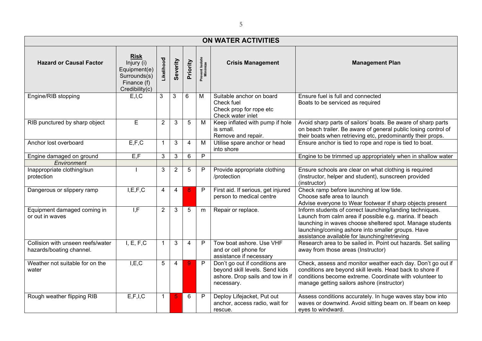| <b>ON WATER ACTIVITIES</b>                                    |                                                                                            |                |                |                 |                             |                                                                                                                    |                                                                                                                                                                                                                                                                                        |  |  |  |  |  |  |
|---------------------------------------------------------------|--------------------------------------------------------------------------------------------|----------------|----------------|-----------------|-----------------------------|--------------------------------------------------------------------------------------------------------------------|----------------------------------------------------------------------------------------------------------------------------------------------------------------------------------------------------------------------------------------------------------------------------------------|--|--|--|--|--|--|
| <b>Hazard or Causal Factor</b>                                | <b>Risk</b><br>Injury (i)<br>Equipment(e)<br>Surrounds(s)<br>Finance (f)<br>Credibility(c) | Likelihood     | Severity       | Priority        | Prevent Isolate<br>Minimize | <b>Crisis Management</b>                                                                                           | <b>Management Plan</b>                                                                                                                                                                                                                                                                 |  |  |  |  |  |  |
| Engine/RIB stopping                                           | E, I, C                                                                                    | $\mathbf{3}$   | 3              | 6               | M                           | Suitable anchor on board<br>Check fuel<br>Check prop for rope etc<br>Check water inlet                             | Ensure fuel is full and connected<br>Boats to be serviced as required                                                                                                                                                                                                                  |  |  |  |  |  |  |
| RIB punctured by sharp object                                 | E                                                                                          | $\overline{2}$ | 3              | 5               | М                           | Keep inflated with pump if hole<br>is small.<br>Remove and repair.                                                 | Avoid sharp parts of sailors' boats. Be aware of sharp parts<br>on beach trailer. Be aware of general public losing control of<br>their boats when retrieving etc, predominantly their props.                                                                                          |  |  |  |  |  |  |
| Anchor lost overboard                                         | E, F, C                                                                                    | $\mathbf{1}$   | 3              | $\overline{4}$  | M                           | Utilise spare anchor or head<br>into shore                                                                         | Ensure anchor is tied to rope and rope is tied to boat.                                                                                                                                                                                                                                |  |  |  |  |  |  |
| Engine damaged on ground                                      | E, F                                                                                       | 3              | $\mathfrak{3}$ | $6\phantom{1}6$ | $\mathsf{P}$                |                                                                                                                    | Engine to be trimmed up appropriately when in shallow water                                                                                                                                                                                                                            |  |  |  |  |  |  |
| Environment                                                   |                                                                                            |                |                |                 |                             |                                                                                                                    |                                                                                                                                                                                                                                                                                        |  |  |  |  |  |  |
| Inappropriate clothing/sun<br>protection                      |                                                                                            | 3              | $\overline{2}$ | 5               | P                           | Provide appropriate clothing<br>/protection                                                                        | Ensure schools are clear on what clothing is required<br>(Instructor, helper and student), sunscreen provided<br>(instructor)                                                                                                                                                          |  |  |  |  |  |  |
| Dangerous or slippery ramp                                    | I, E, F, C                                                                                 | $\overline{4}$ | $\overline{4}$ | 8               | P                           | First aid. If serious, get injured<br>person to medical centre                                                     | Check ramp before launching at low tide.<br>Choose safe area to launch<br>Advise everyone to Wear footwear if sharp objects present                                                                                                                                                    |  |  |  |  |  |  |
| Equipment damaged coming in<br>or out in waves                | $\overline{I,F}$                                                                           | $\overline{2}$ | $\mathbf{3}$   | -5              | m                           | Repair or replace.                                                                                                 | Inform students of correct launching/landing techniques.<br>Launch from calm area if possible e.g. marina. If beach<br>launching in waves choose sheltered spot. Manage students<br>launching/coming ashore into smaller groups. Have<br>assistance available for launching/retrieving |  |  |  |  |  |  |
| Collision with unseen reefs/water<br>hazards/boating channel. | I, E, F, C                                                                                 | $\mathbf{1}$   | 3              | $\overline{4}$  | P                           | Tow boat ashore, Use VHF<br>and or cell phone for<br>assistance if necessary                                       | Research area to be sailed in. Point out hazards. Set sailing<br>away from those areas (Instructor)                                                                                                                                                                                    |  |  |  |  |  |  |
| Weather not suitable for on the<br>water                      | I, E, C                                                                                    | 5              | $\overline{4}$ | 9               | P                           | Don't go out if conditions are<br>beyond skill levels. Send kids<br>ashore. Drop sails and tow in if<br>necessary. | Check, assess and monitor weather each day. Don't go out if<br>conditions are beyond skill levels. Head back to shore if<br>conditions become extreme. Coordinate with volunteer to<br>manage getting sailors ashore (instructor)                                                      |  |  |  |  |  |  |
| Rough weather flipping RIB                                    | E, F, I, C                                                                                 | $\mathbf{1}$   | 5              | 6               | P                           | Deploy Lifejacket, Put out<br>anchor, access radio, wait for<br>rescue.                                            | Assess conditions accurately. In huge waves stay bow into<br>waves or downwind. Avoid sitting beam on. If beam on keep<br>eyes to windward.                                                                                                                                            |  |  |  |  |  |  |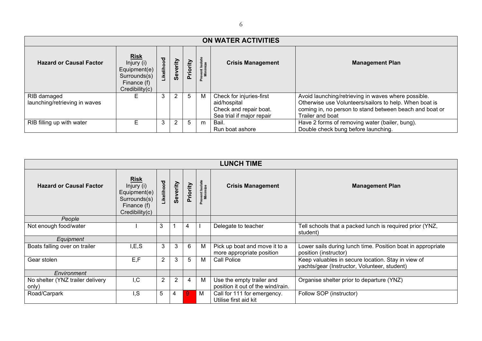| <b>ON WATER ACTIVITIES</b>                   |                                                                                            |            |                |          |                            |                                                                                                 |                                                                                                                                                                                              |  |  |  |  |  |
|----------------------------------------------|--------------------------------------------------------------------------------------------|------------|----------------|----------|----------------------------|-------------------------------------------------------------------------------------------------|----------------------------------------------------------------------------------------------------------------------------------------------------------------------------------------------|--|--|--|--|--|
| <b>Hazard or Causal Factor</b>               | <b>Risk</b><br>Injury (i)<br>Equipment(e)<br>Surrounds(s)<br>Finance (f)<br>Credibility(c) | Likelihood | Severity       | Priority | revent Isolate<br>Minimize | <b>Crisis Management</b>                                                                        | <b>Management Plan</b>                                                                                                                                                                       |  |  |  |  |  |
| RIB damaged<br>launching/retrieving in waves |                                                                                            | 3          | $\overline{2}$ | 5        | M                          | Check for injuries-first<br>aid/hospital<br>Check and repair boat.<br>Sea trial if major repair | Avoid launching/retrieving in waves where possible.<br>Otherwise use Volunteers/sailors to help. When boat is<br>coming in, no person to stand between beach and boat or<br>Trailer and boat |  |  |  |  |  |
| RIB filling up with water                    |                                                                                            | 3          | 2              | 5        | m                          | Bail.<br>Run boat ashore                                                                        | Have 2 forms of removing water (bailer, bung).<br>Double check bung before launching.                                                                                                        |  |  |  |  |  |

|                                           | <b>LUNCH TIME</b>                                                                          |                |                |          |                             |                                                                |                                                                                                    |  |  |  |  |  |  |  |
|-------------------------------------------|--------------------------------------------------------------------------------------------|----------------|----------------|----------|-----------------------------|----------------------------------------------------------------|----------------------------------------------------------------------------------------------------|--|--|--|--|--|--|--|
| <b>Hazard or Causal Factor</b>            | <b>Risk</b><br>Injury (i)<br>Equipment(e)<br>Surrounds(s)<br>Finance (f)<br>Credibility(c) | Likelihood     | Severity       | Priority | Prevent Isolate<br>Minimize | <b>Crisis Management</b>                                       | <b>Management Plan</b>                                                                             |  |  |  |  |  |  |  |
| People                                    |                                                                                            |                |                |          |                             |                                                                |                                                                                                    |  |  |  |  |  |  |  |
| Not enough food/water                     |                                                                                            | 3              |                | 4        |                             | Delegate to teacher                                            | Tell schools that a packed lunch is required prior (YNZ,<br>student)                               |  |  |  |  |  |  |  |
| Equipment                                 |                                                                                            |                |                |          |                             |                                                                |                                                                                                    |  |  |  |  |  |  |  |
| Boats falling over on trailer             | I, E, S                                                                                    | 3              | 3              | 6        | M                           | Pick up boat and move it to a<br>more appropriate position     | Lower sails during lunch time. Position boat in appropriate<br>position (instructor)               |  |  |  |  |  |  |  |
| Gear stolen                               | E, F                                                                                       | $\overline{2}$ | 3              | 5        | M                           | Call Police                                                    | Keep valuables in secure location. Stay in view of<br>yachts/gear (Instructor, Volunteer, student) |  |  |  |  |  |  |  |
| Environment                               |                                                                                            |                |                |          |                             |                                                                |                                                                                                    |  |  |  |  |  |  |  |
| No shelter (YNZ trailer delivery<br>only) | I, C                                                                                       | $\overline{2}$ | $\overline{2}$ | 4        | М                           | Use the empty trailer and<br>position it out of the wind/rain. | Organise shelter prior to departure (YNZ)                                                          |  |  |  |  |  |  |  |
| Road/Carpark                              | I, S                                                                                       | 5              | 4              | 9        | M                           | Call for 111 for emergency.<br>Utilise first aid kit           | Follow SOP (instructor)                                                                            |  |  |  |  |  |  |  |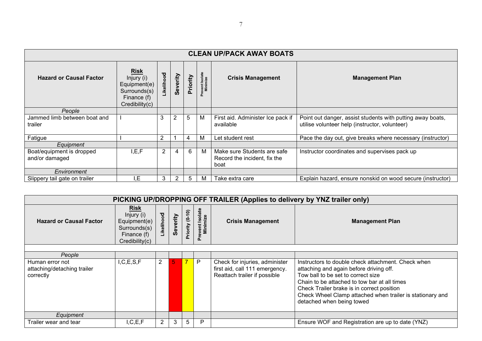| <b>CLEAN UP/PACK AWAY BOATS</b>             |                                                                                            |                  |                |                |                                  |                                                                     |                                                                                                              |  |  |  |  |  |  |
|---------------------------------------------|--------------------------------------------------------------------------------------------|------------------|----------------|----------------|----------------------------------|---------------------------------------------------------------------|--------------------------------------------------------------------------------------------------------------|--|--|--|--|--|--|
| <b>Hazard or Causal Factor</b>              | <b>Risk</b><br>Injury (i)<br>Equipment(e)<br>Surrounds(s)<br>Finance (f)<br>Credibility(c) | <b>ikelihood</b> | Severity       | Priority       | Prevent Isolate<br>Minimize<br>ā | <b>Crisis Management</b>                                            | <b>Management Plan</b>                                                                                       |  |  |  |  |  |  |
| People                                      |                                                                                            |                  |                |                |                                  |                                                                     |                                                                                                              |  |  |  |  |  |  |
| Jammed limb between boat and<br>trailer     |                                                                                            | 3                | 2              | 5              | M                                | First aid. Administer Ice pack if<br>available                      | Point out danger, assist students with putting away boats,<br>utilise volunteer help (instructor, volunteer) |  |  |  |  |  |  |
| Fatigue                                     |                                                                                            | $\overline{2}$   |                | $\overline{4}$ | M                                | Let student rest                                                    | Pace the day out, give breaks where necessary (instructor)                                                   |  |  |  |  |  |  |
| Equipment                                   |                                                                                            |                  |                |                |                                  |                                                                     |                                                                                                              |  |  |  |  |  |  |
| Boat/equipment is dropped<br>and/or damaged | I, E, F                                                                                    | $\overline{2}$   | $\overline{4}$ | 6              | М                                | Make sure Students are safe<br>Record the incident, fix the<br>boat | Instructor coordinates and supervises pack up                                                                |  |  |  |  |  |  |
| Environment                                 |                                                                                            |                  |                |                |                                  |                                                                     |                                                                                                              |  |  |  |  |  |  |
| Slippery tail gate on trailer               | E.                                                                                         | 3                | 2              | $\overline{5}$ | м                                | Take extra care                                                     | Explain hazard, ensure nonskid on wood secure (instructor)                                                   |  |  |  |  |  |  |

| PICKING UP/DROPPING OFF TRAILER (Applies to delivery by YNZ trailer only) |                                                                                            |                |          |                 |                             |                                                                                                  |                                                                                                                                                                                                                                                                                                                             |  |  |  |  |  |  |
|---------------------------------------------------------------------------|--------------------------------------------------------------------------------------------|----------------|----------|-----------------|-----------------------------|--------------------------------------------------------------------------------------------------|-----------------------------------------------------------------------------------------------------------------------------------------------------------------------------------------------------------------------------------------------------------------------------------------------------------------------------|--|--|--|--|--|--|
| <b>Hazard or Causal Factor</b>                                            | <b>Risk</b><br>Injury (i)<br>Equipment(e)<br>Surrounds(s)<br>Finance (f)<br>Credibility(c) | Likelihood     | Severity | Priority (0-10) | Prevent Isolate<br>Minimize | <b>Crisis Management</b>                                                                         | <b>Management Plan</b>                                                                                                                                                                                                                                                                                                      |  |  |  |  |  |  |
|                                                                           |                                                                                            |                |          |                 |                             |                                                                                                  |                                                                                                                                                                                                                                                                                                                             |  |  |  |  |  |  |
| People                                                                    |                                                                                            |                |          |                 |                             |                                                                                                  |                                                                                                                                                                                                                                                                                                                             |  |  |  |  |  |  |
| Human error not<br>attaching/detaching trailer<br>correctly               | I, C, E, S, F                                                                              | $\overline{2}$ | -5       |                 | P                           | Check for injuries, administer<br>first aid, call 111 emergency.<br>Reattach trailer if possible | Instructors to double check attachment. Check when<br>attaching and again before driving off.<br>Tow ball to be set to correct size<br>Chain to be attached to tow bar at all times<br>Check Trailer brake is in correct position<br>Check Wheel Clamp attached when trailer is stationary and<br>detached when being towed |  |  |  |  |  |  |
| Equipment                                                                 |                                                                                            |                |          |                 |                             |                                                                                                  |                                                                                                                                                                                                                                                                                                                             |  |  |  |  |  |  |
| Trailer wear and tear                                                     | I, C, E, F                                                                                 | $\overline{2}$ | 3        | 5               | P                           |                                                                                                  | Ensure WOF and Registration are up to date (YNZ)                                                                                                                                                                                                                                                                            |  |  |  |  |  |  |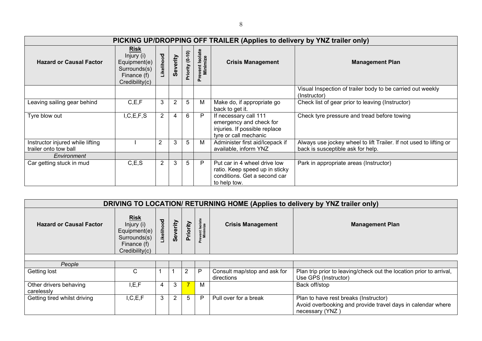|                                                           | PICKING UP/DROPPING OFF TRAILER (Applies to delivery by YNZ trailer only)                  |                |                |                 |                             |                                                                                                                |                                                                                                         |  |  |  |  |  |  |  |
|-----------------------------------------------------------|--------------------------------------------------------------------------------------------|----------------|----------------|-----------------|-----------------------------|----------------------------------------------------------------------------------------------------------------|---------------------------------------------------------------------------------------------------------|--|--|--|--|--|--|--|
| <b>Hazard or Causal Factor</b>                            | <b>Risk</b><br>Injury (i)<br>Equipment(e)<br>Surrounds(s)<br>Finance (f)<br>Credibility(c) | Likelihood     | Severity       | Priority (0-10) | Prevent Isolate<br>Minimize | <b>Crisis Management</b>                                                                                       | <b>Management Plan</b>                                                                                  |  |  |  |  |  |  |  |
|                                                           |                                                                                            |                |                |                 |                             |                                                                                                                | Visual Inspection of trailer body to be carried out weekly<br>(Instructor)                              |  |  |  |  |  |  |  |
| Leaving sailing gear behind                               | C, E, F                                                                                    | 3              | $\overline{2}$ | 5               | M                           | Make do, if appropriate go<br>back to get it.                                                                  | Check list of gear prior to leaving (Instructor)                                                        |  |  |  |  |  |  |  |
| Tyre blow out                                             | I, C, E, F, S                                                                              | $\overline{2}$ | 4              | 6               | P                           | If necessary call 111<br>emergency and check for<br>injuries. If possible replace<br>tyre or call mechanic     | Check tyre pressure and tread before towing                                                             |  |  |  |  |  |  |  |
| Instructor injured while lifting<br>trailer onto tow ball |                                                                                            | $\overline{2}$ | 3              | 5               | M                           | Administer first aid/Icepack if<br>available, inform YNZ                                                       | Always use jockey wheel to lift Trailer. If not used to lifting or<br>back is susceptible ask for help. |  |  |  |  |  |  |  |
| Environment                                               |                                                                                            |                |                |                 |                             |                                                                                                                |                                                                                                         |  |  |  |  |  |  |  |
| Car getting stuck in mud                                  | C, E, S                                                                                    | 2              | 3              | 5               | P                           | Put car in 4 wheel drive low<br>ratio. Keep speed up in sticky<br>conditions. Get a second car<br>to help tow. | Park in appropriate areas (Instructor)                                                                  |  |  |  |  |  |  |  |

| DRIVING TO LOCATION/ RETURNING HOME (Applies to delivery by YNZ trailer only) |                                                                                            |           |          |                |                             |                                            |                                                                                                                         |  |  |  |  |  |  |
|-------------------------------------------------------------------------------|--------------------------------------------------------------------------------------------|-----------|----------|----------------|-----------------------------|--------------------------------------------|-------------------------------------------------------------------------------------------------------------------------|--|--|--|--|--|--|
| <b>Hazard or Causal Factor</b>                                                | <u>Risk</u><br>Injury (i)<br>Equipment(e)<br>Surrounds(s)<br>Finance (f)<br>Credibility(c) | ikelihood | Severity | Priority       | Prevent Isolate<br>Minimize | <b>Crisis Management</b>                   | <b>Management Plan</b>                                                                                                  |  |  |  |  |  |  |
|                                                                               |                                                                                            |           |          |                |                             |                                            |                                                                                                                         |  |  |  |  |  |  |
| People                                                                        |                                                                                            |           |          |                |                             |                                            |                                                                                                                         |  |  |  |  |  |  |
| Getting lost                                                                  | C                                                                                          |           |          | 2              | P                           | Consult map/stop and ask for<br>directions | Plan trip prior to leaving/check out the location prior to arrival,<br>Use GPS (Instructor)                             |  |  |  |  |  |  |
| Other drivers behaving<br>carelessly                                          | I, E, F                                                                                    | 4         | 3        | $\overline{7}$ | M                           |                                            | Back off/stop                                                                                                           |  |  |  |  |  |  |
| Getting tired whilst driving                                                  | I, C, E, F                                                                                 | 3         | 2        | 5              | $\mathsf{P}$                | Pull over for a break                      | Plan to have rest breaks (Instructor)<br>Avoid overbooking and provide travel days in calendar where<br>necessary (YNZ) |  |  |  |  |  |  |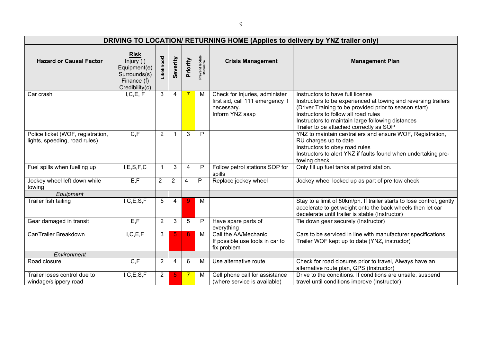|                                                                    | DRIVING TO LOCATION/ RETURNING HOME (Applies to delivery by YNZ trailer only)              |                |                |                |                             |                                                                                                     |                                                                                                                                                                                                                                                                                                      |  |  |  |  |  |  |  |
|--------------------------------------------------------------------|--------------------------------------------------------------------------------------------|----------------|----------------|----------------|-----------------------------|-----------------------------------------------------------------------------------------------------|------------------------------------------------------------------------------------------------------------------------------------------------------------------------------------------------------------------------------------------------------------------------------------------------------|--|--|--|--|--|--|--|
| <b>Hazard or Causal Factor</b>                                     | <b>Risk</b><br>Injury (i)<br>Equipment(e)<br>Surrounds(s)<br>Finance (f)<br>Credibility(c) | Likelihood     | Severity       | Priority       | Prevent Isolate<br>Minimize | <b>Crisis Management</b>                                                                            | <b>Management Plan</b>                                                                                                                                                                                                                                                                               |  |  |  |  |  |  |  |
| Car crash                                                          | I, C, E, F                                                                                 | 3              | $\overline{4}$ | $\overline{7}$ | M                           | Check for Injuries, administer<br>first aid, call 111 emergency if<br>necessary.<br>Inform YNZ asap | Instructors to have full license<br>Instructors to be experienced at towing and reversing trailers<br>(Driver Training to be provided prior to season start)<br>Instructors to follow all road rules<br>Instructors to maintain large following distances<br>Trailer to be attached correctly as SOP |  |  |  |  |  |  |  |
| Police ticket (WOF, registration,<br>lights, speeding, road rules) | C, F                                                                                       | $\overline{2}$ | $\mathbf 1$    | 3              | $\mathsf{P}$                |                                                                                                     | YNZ to maintain car/trailers and ensure WOF, Registration,<br>RU charges up to date<br>Instructors to obey road rules<br>Instructors to alert YNZ if faults found when undertaking pre-<br>towing check                                                                                              |  |  |  |  |  |  |  |
| Fuel spills when fuelling up                                       | I, E, S, F, C                                                                              | -1             | 3              | $\overline{4}$ | $\mathsf{P}$                | Follow petrol stations SOP for<br>spills                                                            | Only fill up fuel tanks at petrol station.                                                                                                                                                                                                                                                           |  |  |  |  |  |  |  |
| Jockey wheel left down while<br>towing                             | E, F                                                                                       | $\overline{2}$ | $\overline{2}$ | 4              | $\mathsf{P}$                | Replace jockey wheel                                                                                | Jockey wheel locked up as part of pre tow check                                                                                                                                                                                                                                                      |  |  |  |  |  |  |  |
| Equipment                                                          |                                                                                            |                |                |                |                             |                                                                                                     |                                                                                                                                                                                                                                                                                                      |  |  |  |  |  |  |  |
| Trailer fish tailing                                               | I, C, E, S, F                                                                              | 5              | $\overline{4}$ | $\overline{9}$ | M                           |                                                                                                     | Stay to a limit of 80km/ph. If trailer starts to lose control, gently<br>accelerate to get weight onto the back wheels then let car<br>decelerate until trailer is stable (Instructor)                                                                                                               |  |  |  |  |  |  |  |
| Gear damaged in transit                                            | E, F                                                                                       | 2              | 3              | 5              | P                           | Have spare parts of<br>everything                                                                   | Tie down gear securely (Instructor)                                                                                                                                                                                                                                                                  |  |  |  |  |  |  |  |
| Car/Trailer Breakdown                                              | I, C, E, F                                                                                 | 3              | 5              | 8              | M                           | Call the AA/Mechanic,<br>If possible use tools in car to<br>fix problem                             | Cars to be serviced in line with manufacturer specifications,<br>Trailer WOF kept up to date (YNZ, instructor)                                                                                                                                                                                       |  |  |  |  |  |  |  |
| Environment                                                        |                                                                                            |                |                |                |                             |                                                                                                     |                                                                                                                                                                                                                                                                                                      |  |  |  |  |  |  |  |
| Road closure                                                       | C, F                                                                                       | $\overline{2}$ | 4              | 6              | м                           | Use alternative route                                                                               | Check for road closures prior to travel, Always have an<br>alternative route plan, GPS (Instructor)                                                                                                                                                                                                  |  |  |  |  |  |  |  |
| Trailer loses control due to<br>windage/slippery road              | I, C, E, S, F                                                                              | $\overline{2}$ | 5              | $\overline{7}$ | M                           | Cell phone call for assistance<br>(where service is available)                                      | Drive to the conditions. If conditions are unsafe, suspend<br>travel until conditions improve (Instructor)                                                                                                                                                                                           |  |  |  |  |  |  |  |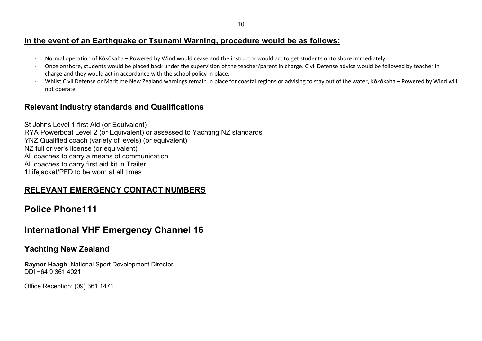# **In the event of an Earthquake or Tsunami Warning, procedure would be as follows:**

- Normal operation of Kōkōkaha Powered by Wind would cease and the instructor would act to get students onto shore immediately.
- Once onshore, students would be placed back under the supervision of the teacher/parent in charge. Civil Defense advice would be followed by teacher in charge and they would act in accordance with the school policy in place.
- Whilst Civil Defense or Maritime New Zealand warnings remain in place for coastal regions or advising to stay out of the water, Kōkōkaha Powered by Wind will not operate.

# **Relevant industry standards and Qualifications**

St Johns Level 1 first Aid (or Equivalent) RYA Powerboat Level 2 (or Equivalent) or assessed to Yachting NZ standards YNZ Qualified coach (variety of levels) (or equivalent) NZ full driver's license (or equivalent) All coaches to carry a means of communication All coaches to carry first aid kit in Trailer 1Lifejacket/PFD to be worn at all times

# **RELEVANT EMERGENCY CONTACT NUMBERS**

# **Police Phone111**

# **International VHF Emergency Channel 16**

# **Yachting New Zealand**

**Raynor Haagh**, National Sport Development Director DDI +64 9 361 4021

Office Reception: (09) 361 1471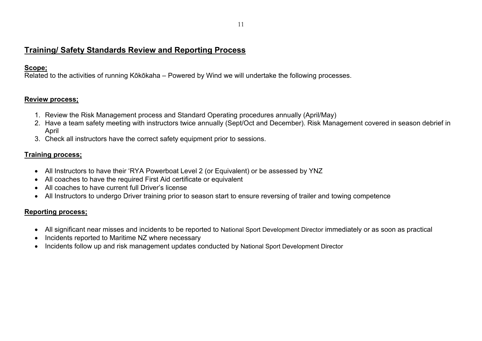# **Training/ Safety Standards Review and Reporting Process**

#### **Scope;**

Related to the activities of running Kōkōkaha – Powered by Wind we will undertake the following processes.

#### **Review process;**

- 1. Review the Risk Management process and Standard Operating procedures annually (April/May)
- 2. Have a team safety meeting with instructors twice annually (Sept/Oct and December). Risk Management covered in season debrief in April
- 3. Check all instructors have the correct safety equipment prior to sessions.

## **Training process;**

- All Instructors to have their 'RYA Powerboat Level 2 (or Equivalent) or be assessed by YNZ
- All coaches to have the required First Aid certificate or equivalent
- All coaches to have current full Driver's license
- All Instructors to undergo Driver training prior to season start to ensure reversing of trailer and towing competence

#### **Reporting process;**

- All significant near misses and incidents to be reported to National Sport Development Director immediately or as soon as practical
- Incidents reported to Maritime NZ where necessary
- Incidents follow up and risk management updates conducted by National Sport Development Director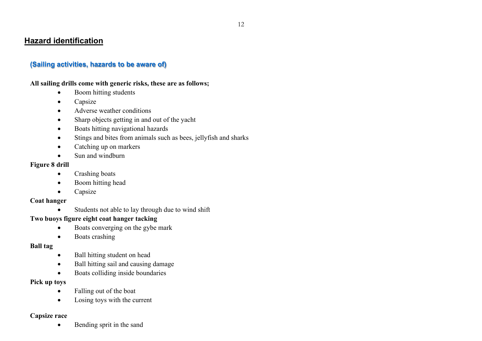# **Hazard identification**

## **(Sailing activities, hazards to be aware of)**

#### **All sailing drills come with generic risks, these are as follows;**

- Boom hitting students
- Capsize
- Adverse weather conditions
- Sharp objects getting in and out of the yacht
- Boats hitting navigational hazards
- Stings and bites from animals such as bees, jellyfish and sharks
- Catching up on markers
- Sun and windburn

#### **Figure 8 drill**

- Crashing boats
- Boom hitting head
- Capsize

#### **Coat hanger**

• Students not able to lay through due to wind shift

## **Two buoys figure eight coat hanger tacking**

- Boats converging on the gybe mark
- Boats crashing

#### **Ball tag**

- Ball hitting student on head
- Ball hitting sail and causing damage
- Boats colliding inside boundaries

#### **Pick up toys**

- Falling out of the boat
- Losing toys with the current

#### **Capsize race**

• Bending sprit in the sand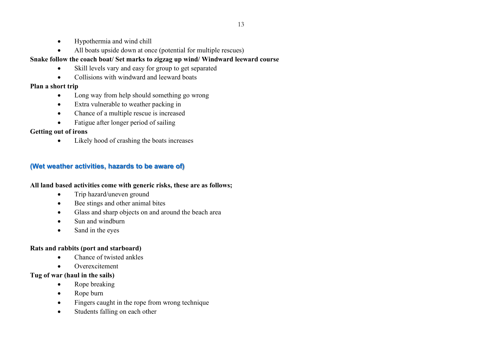- Hypothermia and wind chill
- All boats upside down at once (potential for multiple rescues)

## **Snake follow the coach boat/ Set marks to zigzag up wind/ Windward leeward course**

- Skill levels vary and easy for group to get separated
- Collisions with windward and leeward boats

# **Plan a short trip**

- Long way from help should something go wrong
- Extra vulnerable to weather packing in
- Chance of a multiple rescue is increased
- Fatigue after longer period of sailing

# **Getting out of irons**

• Likely hood of crashing the boats increases

# **(Wet weather activities, hazards to be aware of)**

#### **All land based activities come with generic risks, these are as follows;**

- Trip hazard/uneven ground
- Bee stings and other animal bites
- Glass and sharp objects on and around the beach area
- Sun and windburn
- Sand in the eyes

## **Rats and rabbits (port and starboard)**

- Chance of twisted ankles
- Overexcitement

## **Tug of war (haul in the sails)**

- Rope breaking
- Rope burn
- Fingers caught in the rope from wrong technique
- Students falling on each other